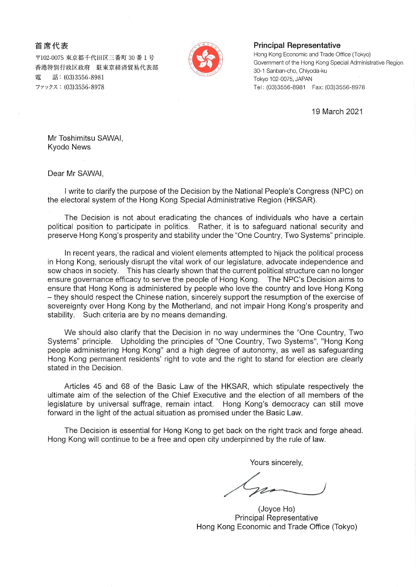## 首席代表

〒102-0075 東京都千代田区三番町 30 番1号 香港特別行政区政府 駐東京経済貿易代表部 話: (03)3556-8981 雷 ファックス: (03)3556-8978



## **Principal Representative**

Hong Kong Economic and Trade Office (Tokyo) Government of the Hong Kong Special Administrative Region 30-1 Sanban-cho, Chiyoda-ku Tokyo 102-0075, JAPAN Tel: (03)3556-8981 Fax: (03)3556-8978

19 March 2021

Mr Toshimitsu SAWAI, **Kyodo News** 

Dear Mr SAWAI,

I write to clarify the purpose of the Decision by the National People's Congress (NPC) on the electoral system of the Hong Kong Special Administrative Region (HKSAR).

The Decision is not about eradicating the chances of individuals who have a certain political position to participate in politics. Rather, it is to safeguard national security and preserve Hong Kong's prosperity and stability under the "One Country, Two Systems" principle.

In recent years, the radical and violent elements attempted to hijack the political process in Hong Kong, seriously disrupt the vital work of our legislature, advocate independence and sow chaos in society. This has clearly shown that the current political structure can no longer ensure governance efficacy to serve the people of Hong Kong. The NPC's Decision aims to ensure that Hong Kong is administered by people who love the country and love Hong Kong - they should respect the Chinese nation, sincerely support the resumption of the exercise of sovereignty over Hong Kong by the Motherland, and not impair Hong Kong's prosperity and stability. Such criteria are by no means demanding.

We should also clarify that the Decision in no way undermines the "One Country, Two Systems" principle. Upholding the principles of "One Country, Two Systems", "Hong Kong people administering Hong Kong" and a high degree of autonomy, as well as safeguarding Hong Kong permanent residents' right to vote and the right to stand for election are clearly stated in the Decision.

Articles 45 and 68 of the Basic Law of the HKSAR, which stipulate respectively the ultimate aim of the selection of the Chief Executive and the election of all members of the legislature by universal suffrage, remain intact. Hong Kong's democracy can still move forward in the light of the actual situation as promised under the Basic Law.

The Decision is essential for Hong Kong to get back on the right track and forge ahead. Hong Kong will continue to be a free and open city underpinned by the rule of law.

Yours sincerely,

(Joyce Ho) **Principal Representative** Hong Kong Economic and Trade Office (Tokyo)